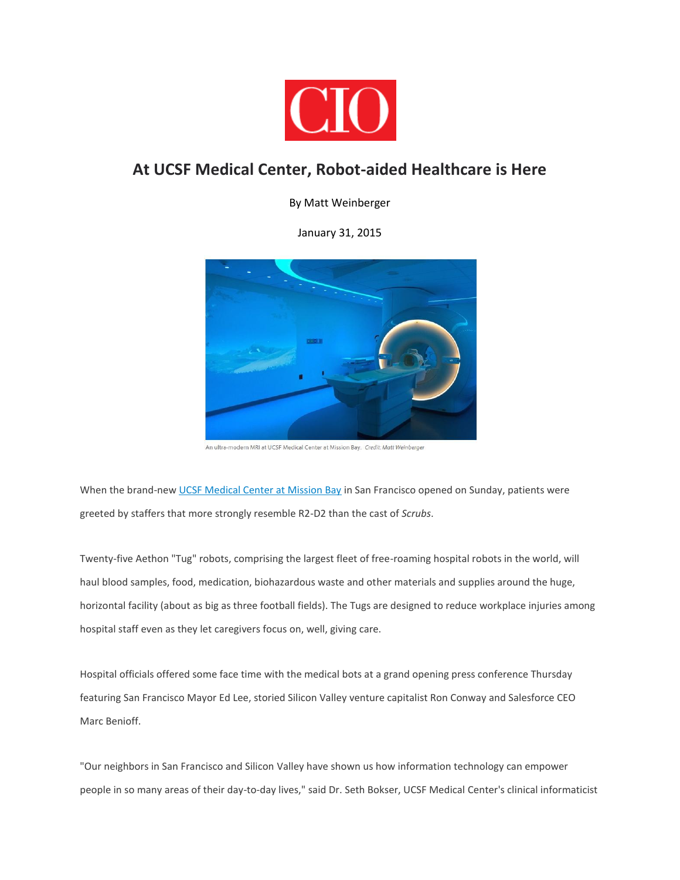

## **At UCSF Medical Center, Robot-aided Healthcare is Here**

By Matt Weinberger

January 31, 2015



An ultra-modern MRI at UCSF Medical Center at Mission Bay. Credit: Matt Weinberger

When the brand-new [UCSF Medical Center at Mission Bay](http://missionbayhospitals.ucsf.edu/) in San Francisco opened on Sunday, patients were greeted by staffers that more strongly resemble R2-D2 than the cast of *Scrubs*.

Twenty-five Aethon "Tug" robots, comprising the largest fleet of free-roaming hospital robots in the world, will haul blood samples, food, medication, biohazardous waste and other materials and supplies around the huge, horizontal facility (about as big as three football fields). The Tugs are designed to reduce workplace injuries among hospital staff even as they let caregivers focus on, well, giving care.

Hospital officials offered some face time with the medical bots at a grand opening press conference Thursday featuring San Francisco Mayor Ed Lee, storied Silicon Valley venture capitalist Ron Conway and Salesforce CEO Marc Benioff.

"Our neighbors in San Francisco and Silicon Valley have shown us how information technology can empower people in so many areas of their day-to-day lives," said Dr. Seth Bokser, UCSF Medical Center's clinical informaticist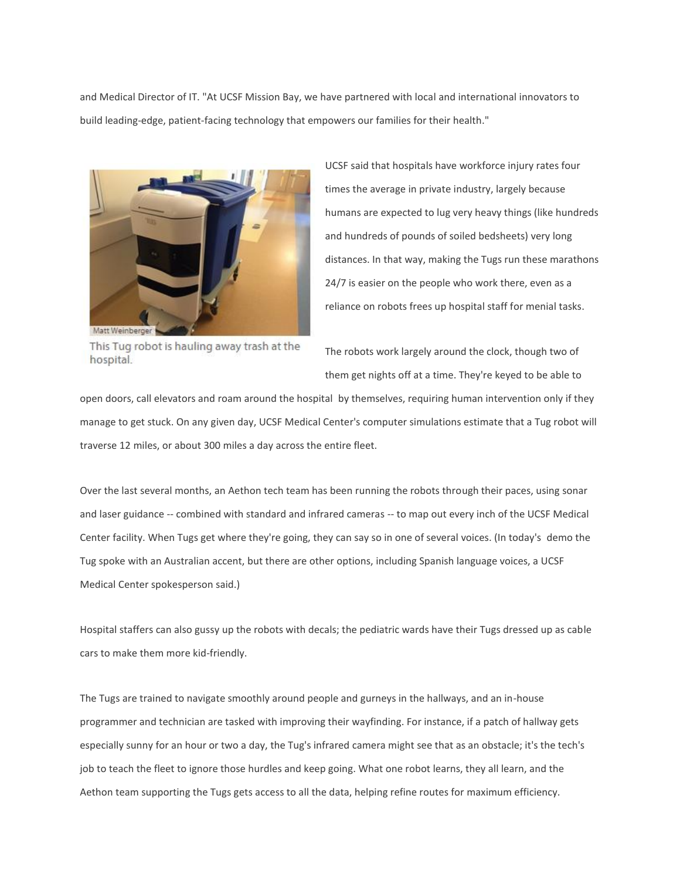and Medical Director of IT. "At UCSF Mission Bay, we have partnered with local and international innovators to build leading-edge, patient-facing technology that empowers our families for their health."



UCSF said that hospitals have workforce injury rates four times the average in private industry, largely because humans are expected to lug very heavy things (like hundreds and hundreds of pounds of soiled bedsheets) very long distances. In that way, making the Tugs run these marathons 24/7 is easier on the people who work there, even as a reliance on robots frees up hospital staff for menial tasks.

This Tug robot is hauling away trash at the hospital.

The robots work largely around the clock, though two of them get nights off at a time. They're keyed to be able to

open doors, call elevators and roam around the hospital by themselves, requiring human intervention only if they manage to get stuck. On any given day, UCSF Medical Center's computer simulations estimate that a Tug robot will traverse 12 miles, or about 300 miles a day across the entire fleet.

Over the last several months, an Aethon tech team has been running the robots through their paces, using sonar and laser guidance -- combined with standard and infrared cameras -- to map out every inch of the UCSF Medical Center facility. When Tugs get where they're going, they can say so in one of several voices. (In today's demo the Tug spoke with an Australian accent, but there are other options, including Spanish language voices, a UCSF Medical Center spokesperson said.)

Hospital staffers can also gussy up the robots with decals; the pediatric wards have their Tugs dressed up as cable cars to make them more kid-friendly.

The Tugs are trained to navigate smoothly around people and gurneys in the hallways, and an in-house programmer and technician are tasked with improving their wayfinding. For instance, if a patch of hallway gets especially sunny for an hour or two a day, the Tug's infrared camera might see that as an obstacle; it's the tech's job to teach the fleet to ignore those hurdles and keep going. What one robot learns, they all learn, and the Aethon team supporting the Tugs gets access to all the data, helping refine routes for maximum efficiency.